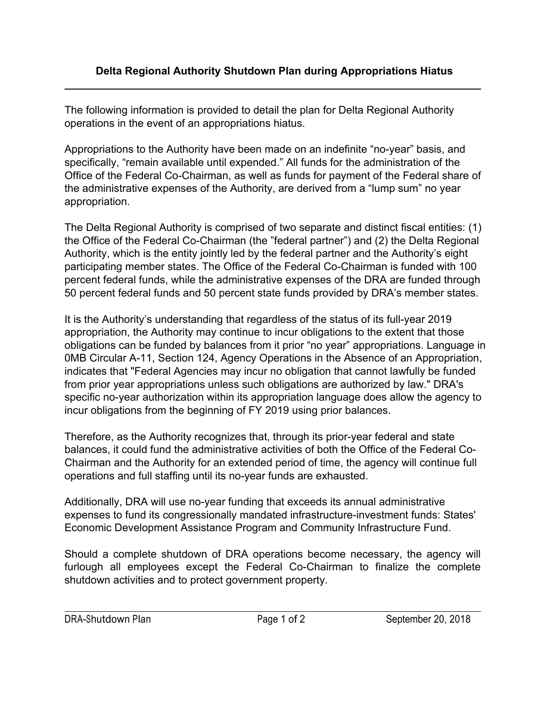The following information is provided to detail the plan for Delta Regional Authority operations in the event of an appropriations hiatus.

Appropriations to the Authority have been made on an indefinite "no-year" basis, and specifically, "remain available until expended." All funds for the administration of the Office of the Federal Co-Chairman, as well as funds for payment of the Federal share of the administrative expenses of the Authority, are derived from a "lump sum" no year appropriation.

The Delta Regional Authority is comprised of two separate and distinct fiscal entities: (1) the Office of the Federal Co-Chairman (the "federal partner") and (2) the Delta Regional Authority, which is the entity jointly led by the federal partner and the Authority's eight participating member states. The Office of the Federal Co-Chairman is funded with 100 percent federal funds, while the administrative expenses of the DRA are funded through 50 percent federal funds and 50 percent state funds provided by DRA's member states.

It is the Authority's understanding that regardless of the status of its full-year 2019 appropriation, the Authority may continue to incur obligations to the extent that those obligations can be funded by balances from it prior "no year" appropriations. Language in 0MB Circular A-11, Section 124, Agency Operations in the Absence of an Appropriation, indicates that "Federal Agencies may incur no obligation that cannot lawfully be funded from prior year appropriations unless such obligations are authorized by law." DRA's specific no-year authorization within its appropriation language does allow the agency to incur obligations from the beginning of FY 2019 using prior balances.

Therefore, as the Authority recognizes that, through its prior-year federal and state balances, it could fund the administrative activities of both the Office of the Federal Co-Chairman and the Authority for an extended period of time, the agency will continue full operations and full staffing until its no-year funds are exhausted.

Additionally, DRA will use no-year funding that exceeds its annual administrative expenses to fund its congressionally mandated infrastructure-investment funds: States' Economic Development Assistance Program and Community Infrastructure Fund.

Should a complete shutdown of DRA operations become necessary, the agency will furlough all employees except the Federal Co-Chairman to finalize the complete shutdown activities and to protect government property.